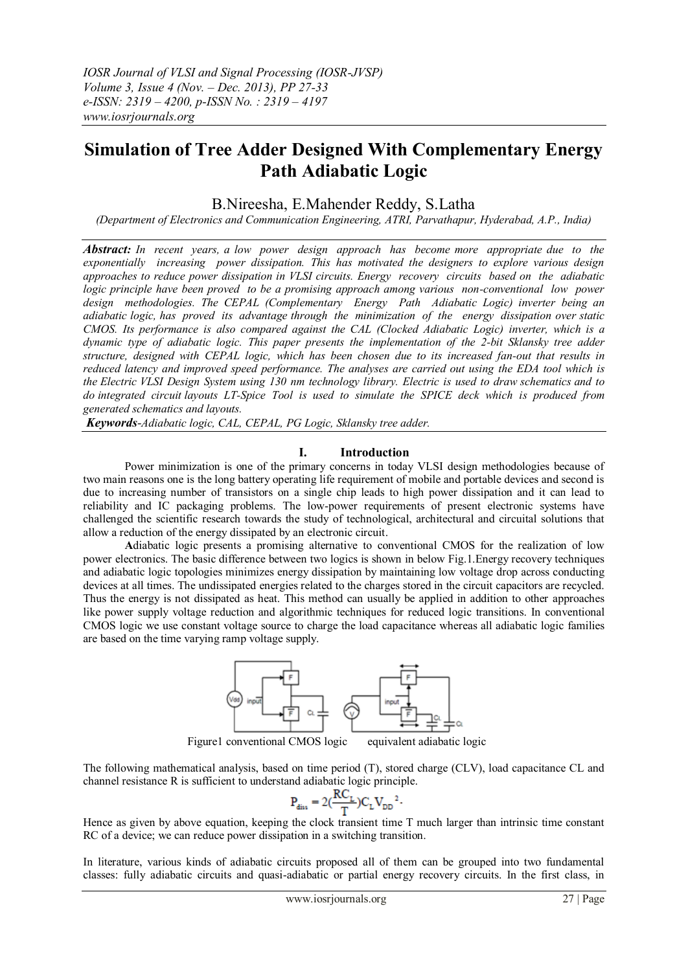# **Simulation of Tree Adder Designed With Complementary Energy Path Adiabatic Logic**

### B.Nireesha, E.Mahender Reddy, S.Latha

*(Department of Electronics and Communication Engineering, ATRI, Parvathapur, Hyderabad, A.P., India)*

*Abstract: In recent years, a low power design approach has become more appropriate due to the exponentially increasing power dissipation. This has motivated the designers to explore various design approaches to reduce power dissipation in VLSI circuits. Energy recovery circuits based on the adiabatic logic principle have been proved to be a promising approach among various non-conventional low power design methodologies. The CEPAL (Complementary Energy Path Adiabatic Logic) inverter being an adiabatic logic, has proved its advantage through the minimization of the energy dissipation over static CMOS. Its performance is also compared against the CAL (Clocked Adiabatic Logic) inverter, which is a dynamic type of adiabatic logic. This paper presents the implementation of the 2-bit Sklansky tree adder structure, designed with CEPAL logic, which has been chosen due to its increased fan-out that results in reduced latency and improved speed performance. The analyses are carried out using the EDA tool which is the Electric [VLSI](http://en.wikipedia.org/wiki/Very-large-scale_integration) Design System using 130 nm technology library. Electric is used to draw [schematics](http://en.wikipedia.org/wiki/Schematic) and to do [integrated circuit](http://en.wikipedia.org/wiki/Integrated_circuit) layouts LT-Spice Tool is used to simulate the SPICE deck which is produced from generated schematics and layouts.*

*Keywords-Adiabatic logic, CAL, CEPAL, PG Logic, Sklansky tree adder.*

### **I. Introduction**

Power minimization is one of the primary concerns in today VLSI design methodologies because of two main reasons one is the long battery operating life requirement of mobile and portable devices and second is due to increasing number of transistors on a single chip leads to high power dissipation and it can lead to reliability and IC packaging problems. The low-power requirements of present electronic systems have challenged the scientific research towards the study of technological, architectural and circuital solutions that allow a reduction of the energy dissipated by an electronic circuit.

**A**diabatic logic presents a promising alternative to conventional CMOS for the realization of low power electronics. The basic difference between two logics is shown in below Fig.1.Energy recovery techniques and adiabatic logic topologies minimizes energy dissipation by maintaining low voltage drop across conducting devices at all times. The undissipated energies related to the charges stored in the circuit capacitors are recycled. Thus the energy is not dissipated as heat. This method can usually be applied in addition to other approaches like power supply voltage reduction and algorithmic techniques for reduced logic transitions. In conventional CMOS logic we use constant voltage source to charge the load capacitance whereas all adiabatic logic families are based on the time varying ramp voltage supply.



Figure1 conventional CMOS logic equivalent adiabatic logic

The following mathematical analysis, based on time period (T), stored charge (CLV), load capacitance CL and channel resistance R is sufficient to understand adiabatic logic principle.

$$
P_{\text{diss}} = 2(\frac{RC_{\text{L}}}{T})C_{\text{L}}V_{\text{DD}}^{2}.
$$

Hence as given by above equation, keeping the clock transient time T much larger than intrinsic time constant RC of a device; we can reduce power dissipation in a switching transition.

In literature, various kinds of adiabatic circuits proposed all of them can be grouped into two fundamental classes: fully adiabatic circuits and quasi-adiabatic or partial energy recovery circuits. In the first class, in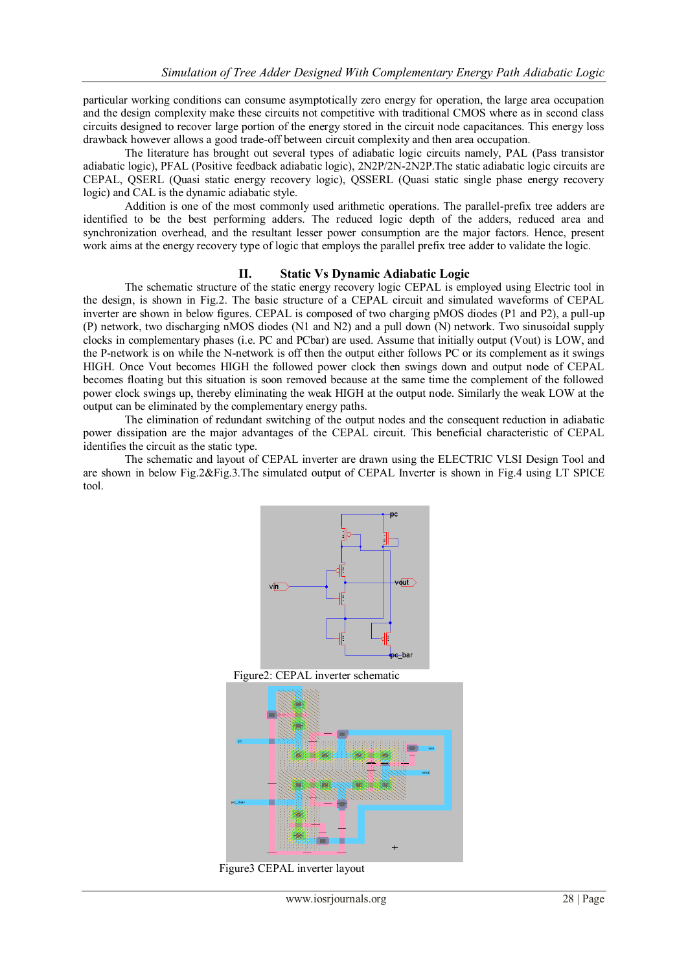particular working conditions can consume asymptotically zero energy for operation, the large area occupation and the design complexity make these circuits not competitive with traditional CMOS where as in second class circuits designed to recover large portion of the energy stored in the circuit node capacitances. This energy loss drawback however allows a good trade-off between circuit complexity and then area occupation.

The literature has brought out several types of adiabatic logic circuits namely, PAL (Pass transistor adiabatic logic), PFAL (Positive feedback adiabatic logic), 2N2P/2N-2N2P.The static adiabatic logic circuits are CEPAL, QSERL (Quasi static energy recovery logic), QSSERL (Quasi static single phase energy recovery logic) and CAL is the dynamic adiabatic style.

Addition is one of the most commonly used arithmetic operations. The parallel-prefix tree adders are identified to be the best performing adders. The reduced logic depth of the adders, reduced area and synchronization overhead, and the resultant lesser power consumption are the major factors. Hence, present work aims at the energy recovery type of logic that employs the parallel prefix tree adder to validate the logic.

### **II. Static Vs Dynamic Adiabatic Logic**

The schematic structure of the static energy recovery logic CEPAL is employed using Electric tool in the design, is shown in Fig.2. The basic structure of a CEPAL circuit and simulated waveforms of CEPAL inverter are shown in below figures. CEPAL is composed of two charging pMOS diodes (P1 and P2), a pull-up (P) network, two discharging nMOS diodes (N1 and N2) and a pull down (N) network. Two sinusoidal supply clocks in complementary phases (i.e. PC and PCbar) are used. Assume that initially output (Vout) is LOW, and the P-network is on while the N-network is off then the output either follows PC or its complement as it swings HIGH. Once Vout becomes HIGH the followed power clock then swings down and output node of CEPAL becomes floating but this situation is soon removed because at the same time the complement of the followed power clock swings up, thereby eliminating the weak HIGH at the output node. Similarly the weak LOW at the output can be eliminated by the complementary energy paths.

The elimination of redundant switching of the output nodes and the consequent reduction in adiabatic power dissipation are the major advantages of the CEPAL circuit. This beneficial characteristic of CEPAL identifies the circuit as the static type.

The schematic and layout of CEPAL inverter are drawn using the ELECTRIC VLSI Design Tool and are shown in below Fig.2&Fig.3.The simulated output of CEPAL Inverter is shown in Fig.4 using LT SPICE tool.



Figure2: CEPAL inverter schematic



Figure3 CEPAL inverter layout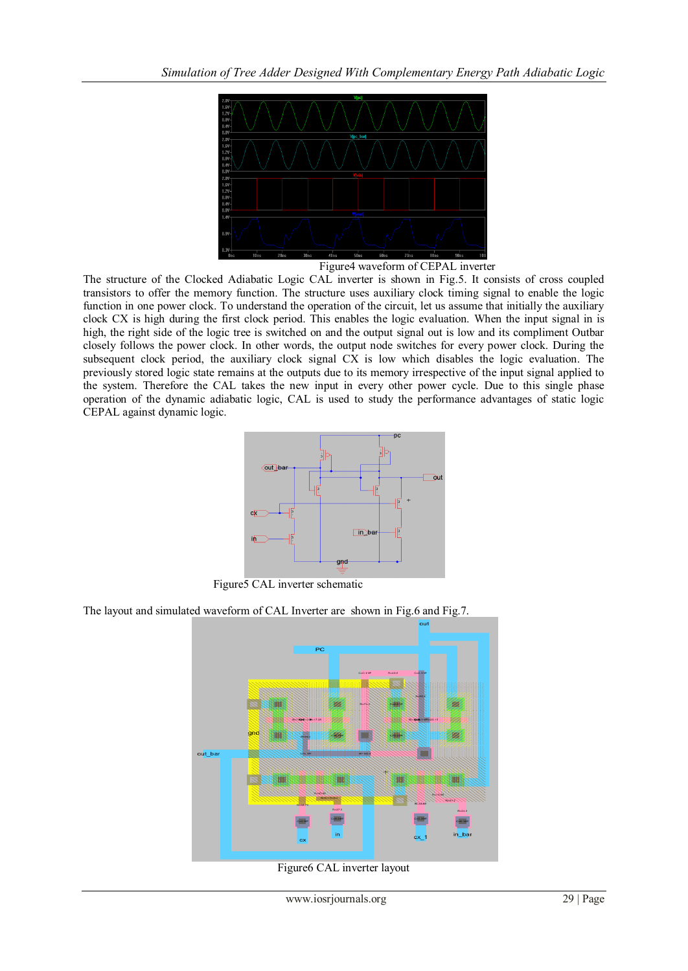

Figure4 waveform of CEPAL inverter

The structure of the Clocked Adiabatic Logic CAL inverter is shown in Fig.5. It consists of cross coupled transistors to offer the memory function. The structure uses auxiliary clock timing signal to enable the logic function in one power clock. To understand the operation of the circuit, let us assume that initially the auxiliary clock CX is high during the first clock period. This enables the logic evaluation. When the input signal in is high, the right side of the logic tree is switched on and the output signal out is low and its compliment Outbar closely follows the power clock. In other words, the output node switches for every power clock. During the subsequent clock period, the auxiliary clock signal CX is low which disables the logic evaluation. The previously stored logic state remains at the outputs due to its memory irrespective of the input signal applied to the system. Therefore the CAL takes the new input in every other power cycle. Due to this single phase operation of the dynamic adiabatic logic, CAL is used to study the performance advantages of static logic CEPAL against dynamic logic.



Figure5 CAL inverter schematic

The layout and simulated waveform of CAL Inverter are shown in Fig.6 and Fig.7.



Figure6 CAL inverter layout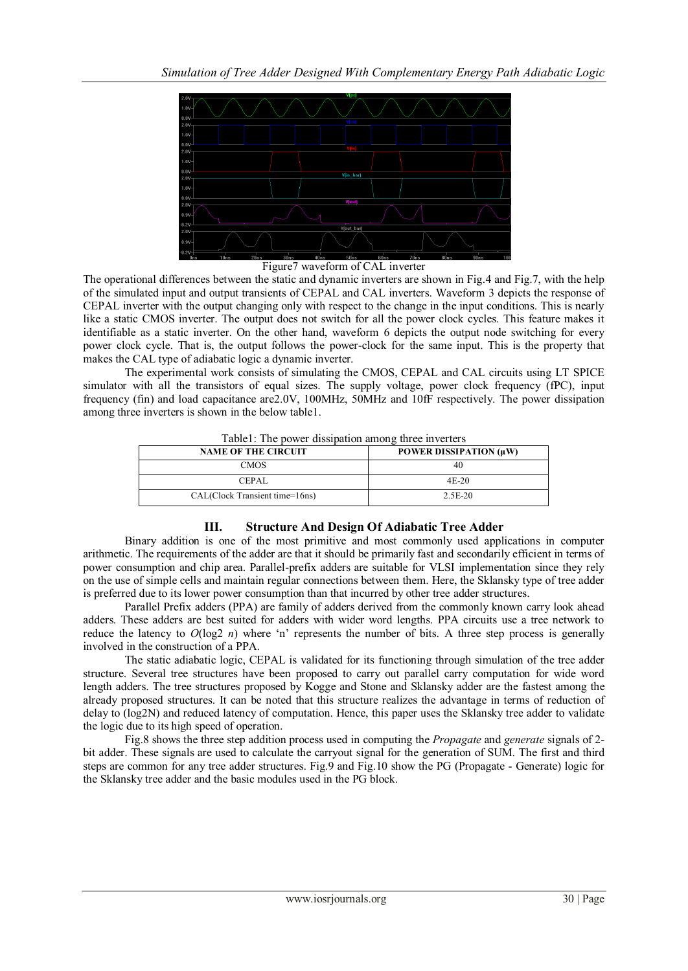

Figure7 waveform of CAL inverter

The operational differences between the static and dynamic inverters are shown in Fig.4 and Fig.7, with the help of the simulated input and output transients of CEPAL and CAL inverters. Waveform 3 depicts the response of CEPAL inverter with the output changing only with respect to the change in the input conditions. This is nearly like a static CMOS inverter. The output does not switch for all the power clock cycles. This feature makes it identifiable as a static inverter. On the other hand, waveform 6 depicts the output node switching for every power clock cycle. That is, the output follows the power-clock for the same input. This is the property that makes the CAL type of adiabatic logic a dynamic inverter.

The experimental work consists of simulating the CMOS, CEPAL and CAL circuits using LT SPICE simulator with all the transistors of equal sizes. The supply voltage, power clock frequency (fPC), input frequency (fin) and load capacitance are2.0V, 100MHz, 50MHz and 10fF respectively. The power dissipation among three inverters is shown in the below table1.

| <b>NAME OF THE CIRCUIT</b>     | POWER DISSIPATION (µW) |
|--------------------------------|------------------------|
| <b>CMOS</b>                    | 40                     |
| <b>CEPAL</b>                   | $4E-20$                |
| CAL(Clock Transient time=16ns) | 2.5E-20                |

Table1: The power dissipation among three inverters

## **III. Structure And Design Of Adiabatic Tree Adder**

Binary addition is one of the most primitive and most commonly used applications in computer arithmetic. The requirements of the adder are that it should be primarily fast and secondarily efficient in terms of power consumption and chip area. Parallel-prefix adders are suitable for VLSI implementation since they rely on the use of simple cells and maintain regular connections between them. Here, the Sklansky type of tree adder is preferred due to its lower power consumption than that incurred by other tree adder structures.

Parallel Prefix adders (PPA) are family of adders derived from the commonly known carry look ahead adders. These adders are best suited for adders with wider word lengths. PPA circuits use a tree network to reduce the latency to  $O(\log 2 n)$  where 'n' represents the number of bits. A three step process is generally involved in the construction of a PPA.

The static adiabatic logic, CEPAL is validated for its functioning through simulation of the tree adder structure. Several tree structures have been proposed to carry out parallel carry computation for wide word length adders. The tree structures proposed by Kogge and Stone and Sklansky adder are the fastest among the already proposed structures. It can be noted that this structure realizes the advantage in terms of reduction of delay to (log2N) and reduced latency of computation. Hence, this paper uses the Sklansky tree adder to validate the logic due to its high speed of operation.

Fig.8 shows the three step addition process used in computing the *Propagate* and *generate* signals of 2 bit adder. These signals are used to calculate the carryout signal for the generation of SUM. The first and third steps are common for any tree adder structures. Fig.9 and Fig.10 show the PG (Propagate - Generate) logic for the Sklansky tree adder and the basic modules used in the PG block.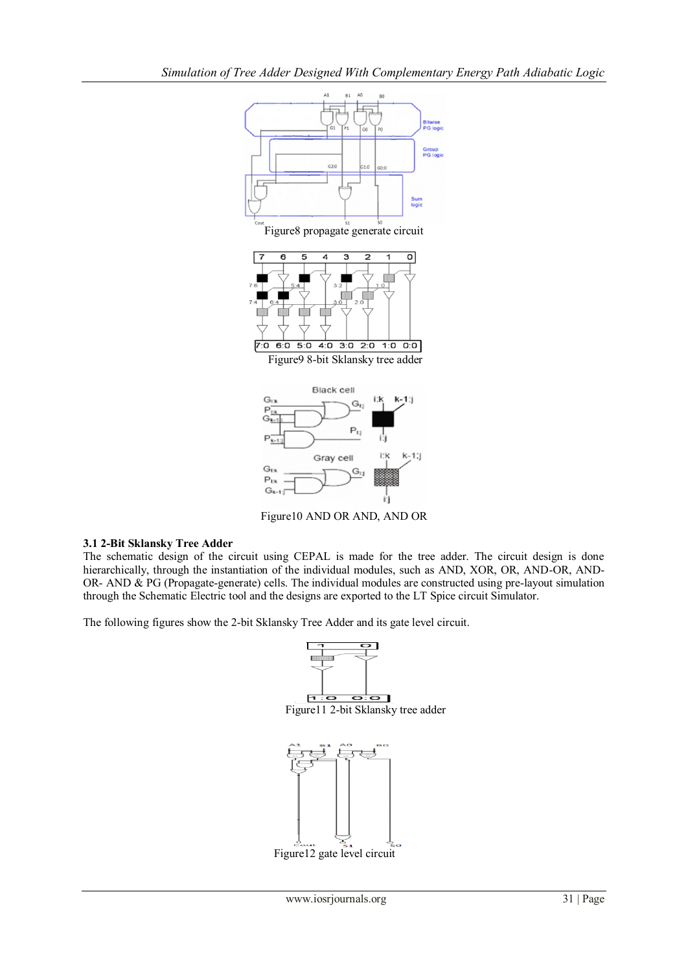

Figure10 AND OR AND, AND OR

### **3.1 2-Bit Sklansky Tree Adder**

The schematic design of the circuit using CEPAL is made for the tree adder. The circuit design is done hierarchically, through the instantiation of the individual modules, such as AND, XOR, OR, AND-OR, AND-OR- AND & PG (Propagate-generate) cells. The individual modules are constructed using pre-layout simulation through the Schematic Electric tool and the designs are exported to the LT Spice circuit Simulator.

The following figures show the 2-bit Sklansky Tree Adder and its gate level circuit.



Figure12 gate level circuit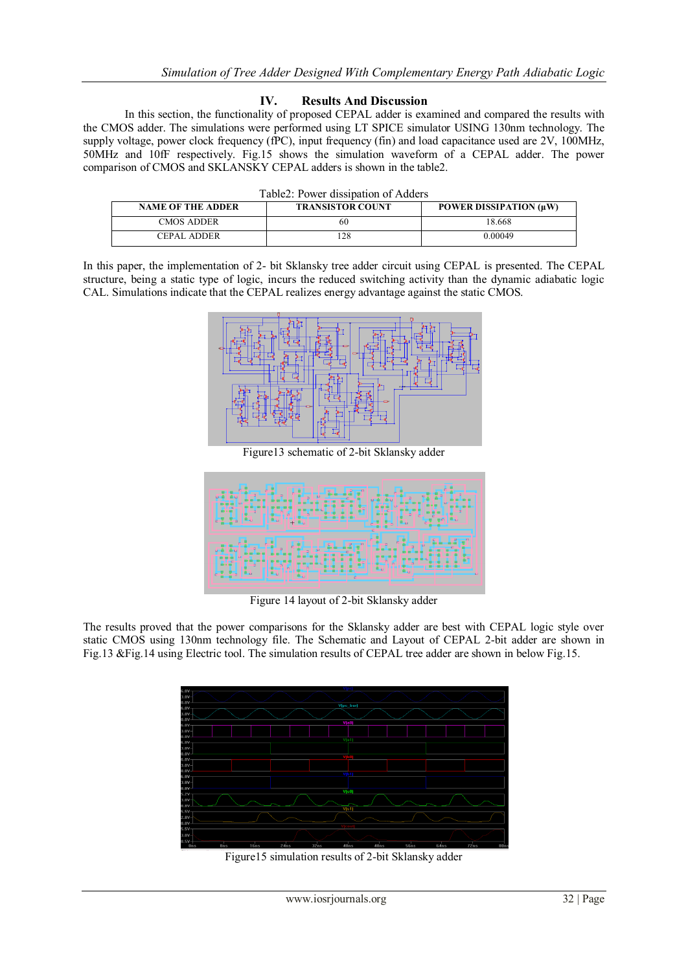### **IV. Results And Discussion**

In this section, the functionality of proposed CEPAL adder is examined and compared the results with the CMOS adder. The simulations were performed using LT SPICE simulator USING 130nm technology. The supply voltage, power clock frequency (fPC), input frequency (fin) and load capacitance used are 2V, 100MHz, 50MHz and 10fF respectively. Fig.15 shows the simulation waveform of a CEPAL adder. The power comparison of CMOS and SKLANSKY CEPAL adders is shown in the table2.

| <b>NAME OF THE ADDER</b> | <b>TRANSISTOR COUNT</b> | POWER DISSIPATION $(\mu W)$ |
|--------------------------|-------------------------|-----------------------------|
| CMOS ADDER-              | 60                      | 8.668                       |
| CEPAL ADDER              |                         | 0 00049                     |

In this paper, the implementation of 2- bit Sklansky tree adder circuit using CEPAL is presented. The CEPAL structure, being a static type of logic, incurs the reduced switching activity than the dynamic adiabatic logic CAL. Simulations indicate that the CEPAL realizes energy advantage against the static CMOS.



Figure13 schematic of 2-bit Sklansky adder



Figure 14 layout of 2-bit Sklansky adder

The results proved that the power comparisons for the Sklansky adder are best with CEPAL logic style over static CMOS using 130nm technology file. The Schematic and Layout of CEPAL 2-bit adder are shown in Fig.13 &Fig.14 using Electric tool. The simulation results of CEPAL tree adder are shown in below Fig.15.



Figure15 simulation results of 2-bit Sklansky adder